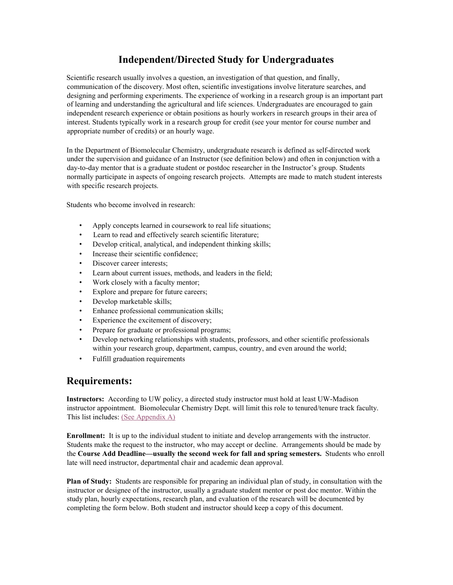### **Independent/Directed Study for Undergraduates**

Scientific research usually involves a question, an investigation of that question, and finally, communication of the discovery. Most often, scientific investigations involve literature searches, and designing and performing experiments. The experience of working in a research group is an important part of learning and understanding the agricultural and life sciences. Undergraduates are encouraged to gain independent research experience or obtain positions as hourly workers in research groups in their area of interest. Students typically work in a research group for credit (see your mentor for course number and appropriate number of credits) or an hourly wage.

In the Department of Biomolecular Chemistry, undergraduate research is defined as self-directed work under the supervision and guidance of an Instructor (see definition below) and often in conjunction with a day-to-day mentor that is a graduate student or postdoc researcher in the Instructor's group. Students normally participate in aspects of ongoing research projects. Attempts are made to match student interests with specific research projects.

Students who become involved in research:

- Apply concepts learned in coursework to real life situations;
- Learn to read and effectively search scientific literature;
- Develop critical, analytical, and independent thinking skills;
- Increase their scientific confidence;
- Discover career interests:
- Learn about current issues, methods, and leaders in the field;
- Work closely with a faculty mentor;
- Explore and prepare for future careers;
- Develop marketable skills;
- Enhance professional communication skills;
- Experience the excitement of discovery;
- Prepare for graduate or professional programs;
- Develop networking relationships with students, professors, and other scientific professionals within your research group, department, campus, country, and even around the world;
- Fulfill graduation requirements

#### **Requirements:**

**Instructors:** According to UW policy, a directed study instructor must hold at least UW-Madison instructor appointment. Biomolecular Chemistry Dept. will limit this role to tenured/tenure track faculty. This list includes: [\(See Appendix A\)](#page-3-0)

**Enrollment:** It is up to the individual student to initiate and develop arrangements with the instructor. Students make the request to the instructor, who may accept or decline. Arrangements should be made by the **Course Add Deadline—usually the second week for fall and spring semesters.** Students who enroll late will need instructor, departmental chair and academic dean approval.

**Plan of Study:** Students are responsible for preparing an individual plan of study, in consultation with the instructor or designee of the instructor, usually a graduate student mentor or post doc mentor. Within the study plan, hourly expectations, research plan, and evaluation of the research will be documented by completing the form below. Both student and instructor should keep a copy of this document.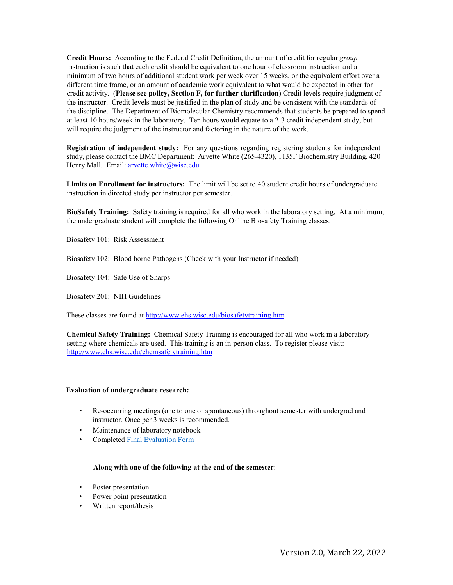**Credit Hours:** According to the Federal Credit Definition, the amount of credit for regular *group* instruction is such that each credit should be equivalent to one hour of classroom instruction and a minimum of two hours of additional student work per week over 15 weeks, or the equivalent effort over a different time frame, or an amount of academic work equivalent to what would be expected in other for credit activity. (**Please see policy, Section F, for further clarification**) Credit levels require judgment of the instructor. Credit levels must be justified in the plan of study and be consistent with the standards of the discipline. The Department of Biomolecular Chemistry recommends that students be prepared to spend at least 10 hours/week in the laboratory. Ten hours would equate to a 2-3 credit independent study, but will require the judgment of the instructor and factoring in the nature of the work.

**Registration of independent study:** For any questions regarding registering students for independent study, please contact the BMC Department: Arvette White (265-4320), 1135F Biochemistry Building, 420 Henry Mall. Email: arvette.white@wisc.edu.

**Limits on Enrollment for instructors:** The limit will be set to 40 student credit hours of undergraduate instruction in directed study per instructor per semester.

**BioSafety Training:** Safety training is required for all who work in the laboratory setting. At a minimum, the undergraduate student will complete the following Online Biosafety Training classes:

Biosafety 101: Risk Assessment

Biosafety 102: Blood borne Pathogens (Check with your Instructor if needed)

Biosafety 104: Safe Use of Sharps

Biosafety 201: NIH Guidelines

These classes are found at http://www.ehs.wisc.edu/biosafetytraining.htm

**Chemical Safety Training:** Chemical Safety Training is encouraged for all who work in a laboratory setting where chemicals are used. This training is an in-person class. To register please visit: http://www.ehs.wisc.edu/chemsafetytraining.htm

#### **Evaluation of undergraduate research:**

- Re-occurring meetings (one to one or spontaneous) throughout semester with undergrad and instructor. Once per 3 weeks is recommended.
- Maintenance of laboratory notebook
- Complete[d Final Evaluation Form](#page-4-0)

#### **Along with one of the following at the end of the semester**:

- Poster presentation
- Power point presentation
- Written report/thesis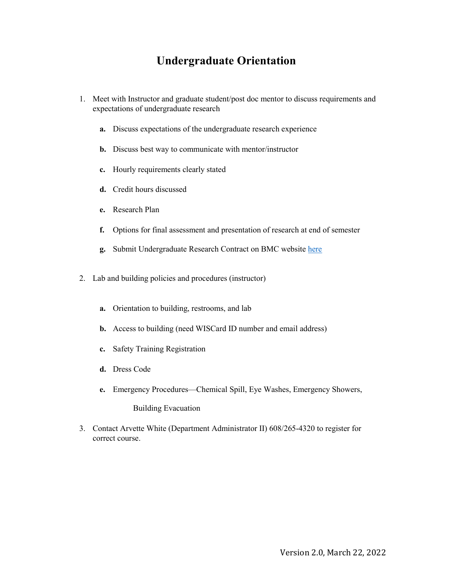# **Undergraduate Orientation**

- 1. Meet with Instructor and graduate student/post doc mentor to discuss requirements and expectations of undergraduate research
	- **a.** Discuss expectations of the undergraduate research experience
	- **b.** Discuss best way to communicate with mentor/instructor
	- **c.** Hourly requirements clearly stated
	- **d.** Credit hours discussed
	- **e.** Research Plan
	- **f.** Options for final assessment and presentation of research at end of semester
	- **g.** Submit Undergraduate Research Contract on BMC website [here](https://intranet.bmolchem.wisc.edu/student-resources/undergraduate-research-contract/)
- 2. Lab and building policies and procedures (instructor)
	- **a.** Orientation to building, restrooms, and lab
	- **b.** Access to building (need WISCard ID number and email address)
	- **c.** Safety Training Registration
	- **d.** Dress Code
	- **e.** Emergency Procedures—Chemical Spill, Eye Washes, Emergency Showers,

Building Evacuation

3. Contact Arvette White (Department Administrator II) 608/265-4320 to register for correct course.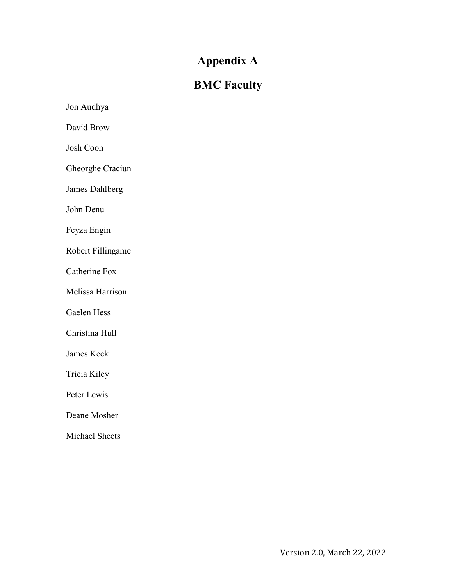# **Appendix A**

# **BMC Faculty**

<span id="page-3-0"></span>Jon Audhya David Brow Josh Coon Gheorghe Craciun James Dahlberg John Denu Feyza Engin Robert Fillingame Catherine Fox Melissa Harrison Gaelen Hess Christina Hull James Keck Tricia Kiley Peter Lewis Deane Mosher Michael Sheets